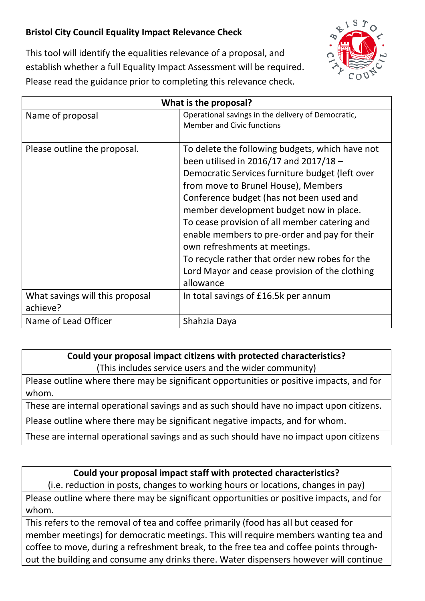## **Bristol City Council Equality Impact Relevance Check**



This tool will identify the equalities relevance of a proposal, and establish whether a full Equality Impact Assessment will be required. Please read the guidance prior to completing this relevance check.

| What is the proposal?                       |                                                                                                                                                                                                                                                                                                                                                                                                                                                                                                                                |
|---------------------------------------------|--------------------------------------------------------------------------------------------------------------------------------------------------------------------------------------------------------------------------------------------------------------------------------------------------------------------------------------------------------------------------------------------------------------------------------------------------------------------------------------------------------------------------------|
| Name of proposal                            | Operational savings in the delivery of Democratic,<br><b>Member and Civic functions</b>                                                                                                                                                                                                                                                                                                                                                                                                                                        |
| Please outline the proposal.                | To delete the following budgets, which have not<br>been utilised in 2016/17 and 2017/18 -<br>Democratic Services furniture budget (left over<br>from move to Brunel House), Members<br>Conference budget (has not been used and<br>member development budget now in place.<br>To cease provision of all member catering and<br>enable members to pre-order and pay for their<br>own refreshments at meetings.<br>To recycle rather that order new robes for the<br>Lord Mayor and cease provision of the clothing<br>allowance |
| What savings will this proposal<br>achieve? | In total savings of £16.5k per annum                                                                                                                                                                                                                                                                                                                                                                                                                                                                                           |
| Name of Lead Officer                        | Shahzia Daya                                                                                                                                                                                                                                                                                                                                                                                                                                                                                                                   |

## **Could your proposal impact citizens with protected characteristics?** (This includes service users and the wider community)

Please outline where there may be significant opportunities or positive impacts, and for whom.

These are internal operational savings and as such should have no impact upon citizens.

Please outline where there may be significant negative impacts, and for whom.

These are internal operational savings and as such should have no impact upon citizens

## **Could your proposal impact staff with protected characteristics?**

(i.e. reduction in posts, changes to working hours or locations, changes in pay) Please outline where there may be significant opportunities or positive impacts, and for whom.

This refers to the removal of tea and coffee primarily (food has all but ceased for member meetings) for democratic meetings. This will require members wanting tea and coffee to move, during a refreshment break, to the free tea and coffee points throughout the building and consume any drinks there. Water dispensers however will continue